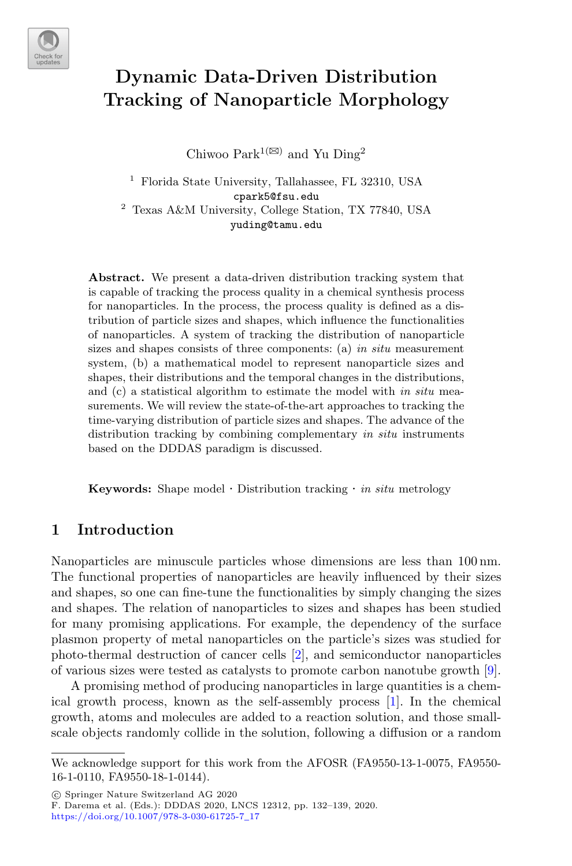

# **Dynamic Data-Driven Distribution Tracking of Nanoparticle Morphology**

Chiwoo Park<sup>1( $\boxtimes$ )</sup> and Yu Ding<sup>2</sup>

<sup>1</sup> Florida State University, Tallahassee, FL 32310, USA cpark5@fsu.edu <sup>2</sup> Texas A&M University, College Station, TX 77840, USA yuding@tamu.edu

**Abstract.** We present a data-driven distribution tracking system that is capable of tracking the process quality in a chemical synthesis process for nanoparticles. In the process, the process quality is defined as a distribution of particle sizes and shapes, which influence the functionalities of nanoparticles. A system of tracking the distribution of nanoparticle sizes and shapes consists of three components: (a) *in situ* measurement system, (b) a mathematical model to represent nanoparticle sizes and shapes, their distributions and the temporal changes in the distributions, and (c) a statistical algorithm to estimate the model with *in situ* measurements. We will review the state-of-the-art approaches to tracking the time-varying distribution of particle sizes and shapes. The advance of the distribution tracking by combining complementary *in situ* instruments based on the DDDAS paradigm is discussed.

**Keywords:** Shape model · Distribution tracking · *in situ* metrology

## **1 Introduction**

Nanoparticles are minuscule particles whose dimensions are less than 100 nm. The functional properties of nanoparticles are heavily influenced by their sizes and shapes, so one can fine-tune the functionalities by simply changing the sizes and shapes. The relation of nanoparticles to sizes and shapes has been studied for many promising applications. For example, the dependency of the surface plasmon property of metal nanoparticles on the particle's sizes was studied for photo-thermal destruction of cancer cells [2], and semiconductor nanoparticles of various sizes were tested as catalysts to promote carbon nanotube growth [9].

A promising method of producing nanoparticles in large quantities is a chemical growth process, known as the self-assembly process [1]. In the chemical growth, atoms and molecules are added to a reaction solution, and those smallscale objects randomly collide in the solution, following a diffusion or a random

-c Springer Nature Switzerland AG 2020

We acknowledge support for this work from the AFOSR (FA9550-13-1-0075, FA9550- 16-1-0110, FA9550-18-1-0144).

F. Darema et al. (Eds.): DDDAS 2020, LNCS 12312, pp. 132–139, 2020. [https://doi.org/10.1007/978-3-030-61725-7](https://doi.org/10.1007/978-3-030-61725-7_17)\_17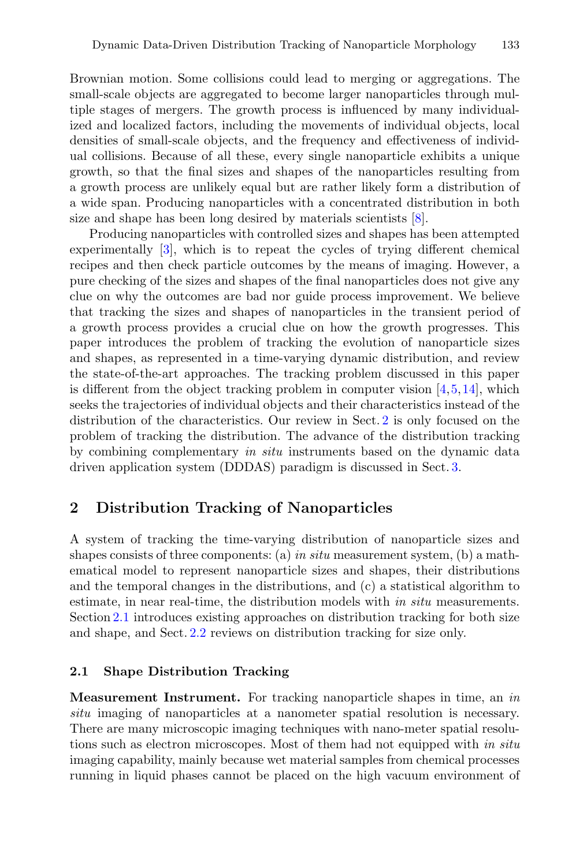Brownian motion. Some collisions could lead to merging or aggregations. The small-scale objects are aggregated to become larger nanoparticles through multiple stages of mergers. The growth process is influenced by many individualized and localized factors, including the movements of individual objects, local densities of small-scale objects, and the frequency and effectiveness of individual collisions. Because of all these, every single nanoparticle exhibits a unique growth, so that the final sizes and shapes of the nanoparticles resulting from a growth process are unlikely equal but are rather likely form a distribution of a wide span. Producing nanoparticles with a concentrated distribution in both size and shape has been long desired by materials scientists [8].

Producing nanoparticles with controlled sizes and shapes has been attempted experimentally [3], which is to repeat the cycles of trying different chemical recipes and then check particle outcomes by the means of imaging. However, a pure checking of the sizes and shapes of the final nanoparticles does not give any clue on why the outcomes are bad nor guide process improvement. We believe that tracking the sizes and shapes of nanoparticles in the transient period of a growth process provides a crucial clue on how the growth progresses. This paper introduces the problem of tracking the evolution of nanoparticle sizes and shapes, as represented in a time-varying dynamic distribution, and review the state-of-the-art approaches. The tracking problem discussed in this paper is different from the object tracking problem in computer vision  $[4,5,14]$ , which seeks the trajectories of individual objects and their characteristics instead of the distribution of the characteristics. Our review in Sect. 2 is only focused on the problem of tracking the distribution. The advance of the distribution tracking by combining complementary *in situ* instruments based on the dynamic data driven application system (DDDAS) paradigm is discussed in Sect. 3.

## **2 Distribution Tracking of Nanoparticles**

A system of tracking the time-varying distribution of nanoparticle sizes and shapes consists of three components: (a) *in situ* measurement system, (b) a mathematical model to represent nanoparticle sizes and shapes, their distributions and the temporal changes in the distributions, and (c) a statistical algorithm to estimate, in near real-time, the distribution models with *in situ* measurements. Section 2.1 introduces existing approaches on distribution tracking for both size and shape, and Sect. 2.2 reviews on distribution tracking for size only.

### **2.1 Shape Distribution Tracking**

**Measurement Instrument.** For tracking nanoparticle shapes in time, an *in situ* imaging of nanoparticles at a nanometer spatial resolution is necessary. There are many microscopic imaging techniques with nano-meter spatial resolutions such as electron microscopes. Most of them had not equipped with *in situ* imaging capability, mainly because wet material samples from chemical processes running in liquid phases cannot be placed on the high vacuum environment of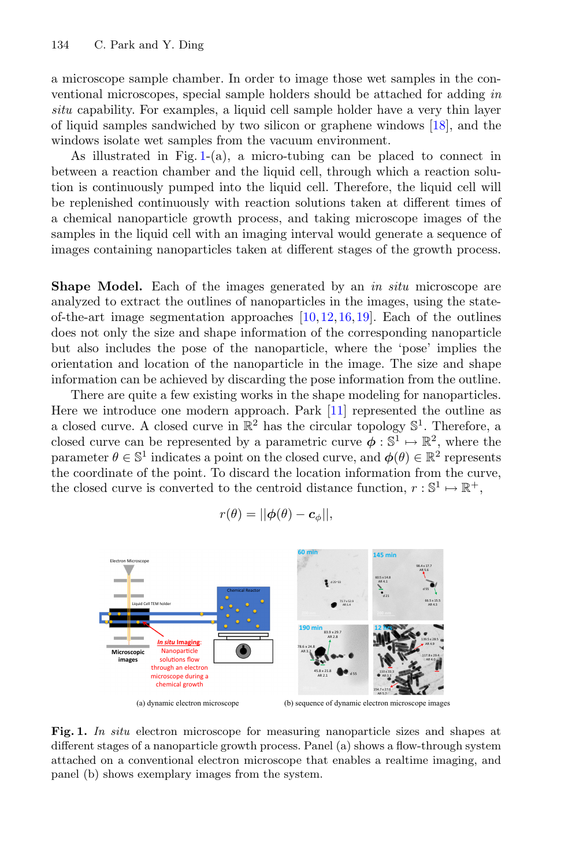a microscope sample chamber. In order to image those wet samples in the conventional microscopes, special sample holders should be attached for adding *in situ* capability. For examples, a liquid cell sample holder have a very thin layer of liquid samples sandwiched by two silicon or graphene windows [18], and the windows isolate wet samples from the vacuum environment.

As illustrated in Fig.  $1-(a)$ , a micro-tubing can be placed to connect in between a reaction chamber and the liquid cell, through which a reaction solution is continuously pumped into the liquid cell. Therefore, the liquid cell will be replenished continuously with reaction solutions taken at different times of a chemical nanoparticle growth process, and taking microscope images of the samples in the liquid cell with an imaging interval would generate a sequence of images containing nanoparticles taken at different stages of the growth process.

**Shape Model.** Each of the images generated by an *in situ* microscope are analyzed to extract the outlines of nanoparticles in the images, using the stateof-the-art image segmentation approaches [10,12,16,19]. Each of the outlines does not only the size and shape information of the corresponding nanoparticle but also includes the pose of the nanoparticle, where the 'pose' implies the orientation and location of the nanoparticle in the image. The size and shape information can be achieved by discarding the pose information from the outline.

There are quite a few existing works in the shape modeling for nanoparticles. Here we introduce one modern approach. Park [11] represented the outline as a closed curve. A closed curve in  $\mathbb{R}^2$  has the circular topology  $\mathbb{S}^1$ . Therefore, a closed curve can be represented by a parametric curve  $\phi : \mathbb{S}^1 \mapsto \mathbb{R}^2$ , where the parameter  $\theta \in \mathbb{S}^1$  indicates a point on the closed curve, and  $\phi(\theta) \in \mathbb{R}^2$  represents the coordinate of the point. To discard the location information from the curve, the closed curve is converted to the centroid distance function,  $r : \mathbb{S}^1 \mapsto \mathbb{R}^+,$ 

$$
r(\theta) = ||\phi(\theta) - \mathbf{c}_{\phi}||,
$$



(a) dynamic electron microscope

(b) sequence of dynamic electron microscope images

**Fig. 1.** *In situ* electron microscope for measuring nanoparticle sizes and shapes at different stages of a nanoparticle growth process. Panel (a) shows a flow-through system attached on a conventional electron microscope that enables a realtime imaging, and panel (b) shows exemplary images from the system.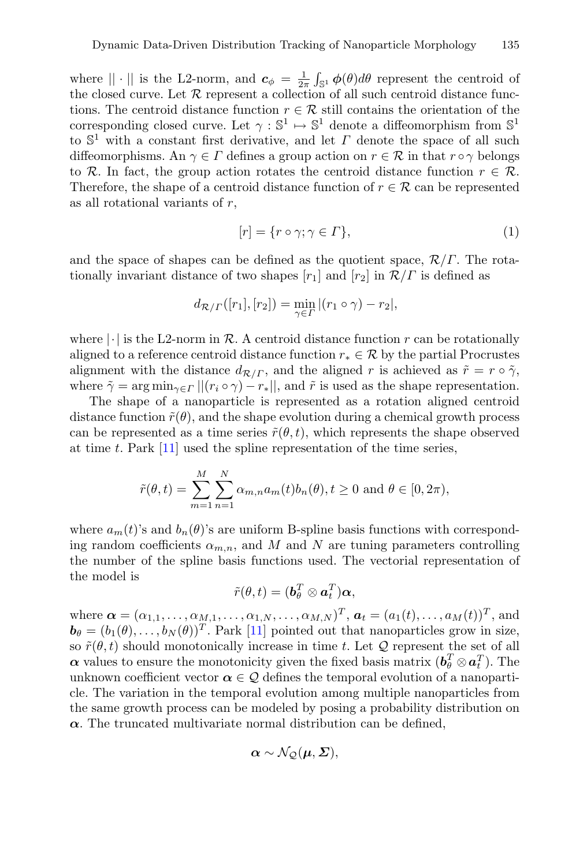where  $|| \cdot ||$  is the L2-norm, and  $c_{\phi} = \frac{1}{2\pi} \int_{\mathbb{S}^1} \phi(\theta) d\theta$  represent the centroid of the closed curve. Let  $R$  represent a collection of all such centroid distance functions. The centroid distance function  $r \in \mathcal{R}$  still contains the orientation of the corresponding closed curve. Let  $\gamma : \mathbb{S}^1 \mapsto \mathbb{S}^1$  denote a diffeomorphism from  $\mathbb{S}^1$ to  $\mathbb{S}^1$  with a constant first derivative, and let  $\Gamma$  denote the space of all such diffeomorphisms. An  $\gamma \in \Gamma$  defines a group action on  $r \in \mathcal{R}$  in that  $r \circ \gamma$  belongs to R. In fact, the group action rotates the centroid distance function  $r \in \mathcal{R}$ . Therefore, the shape of a centroid distance function of  $r \in \mathcal{R}$  can be represented as all rotational variants of  $r$ ,

$$
[r] = \{r \circ \gamma; \gamma \in \Gamma\},\tag{1}
$$

and the space of shapes can be defined as the quotient space,  $\mathcal{R}/\Gamma$ . The rotationally invariant distance of two shapes  $[r_1]$  and  $[r_2]$  in  $\mathcal{R}/\Gamma$  is defined as

$$
d_{\mathcal{R}/\varGamma}([r_1],[r_2]) = \min_{\gamma \in \varGamma} |(r_1 \circ \gamma) - r_2|,
$$

where  $|\cdot|$  is the L2-norm in R. A centroid distance function r can be rotationally aligned to a reference centroid distance function  $r_* \in \mathcal{R}$  by the partial Procrustes alignment with the distance  $d_{\mathcal{R}/\Gamma}$ , and the aligned r is achieved as  $\tilde{r} = r \circ \tilde{\gamma}$ , where  $\tilde{\gamma} = \arg \min_{\gamma \in \Gamma} ||(r_i \circ \gamma) - r_*||$ , and  $\tilde{r}$  is used as the shape representation.

The shape of a nanoparticle is represented as a rotation aligned centroid distance function  $\tilde{r}(\theta)$ , and the shape evolution during a chemical growth process can be represented as a time series  $\tilde{r}(\theta, t)$ , which represents the shape observed at time t. Park [11] used the spline representation of the time series,

$$
\tilde{r}(\theta, t) = \sum_{m=1}^{M} \sum_{n=1}^{N} \alpha_{m,n} a_m(t) b_n(\theta), t \ge 0
$$
 and  $\theta \in [0, 2\pi)$ ,

where  $a_m(t)$ 's and  $b_n(\theta)$ 's are uniform B-spline basis functions with corresponding random coefficients  $\alpha_{m,n}$ , and M and N are tuning parameters controlling the number of the spline basis functions used. The vectorial representation of the model is

$$
\tilde{r}(\theta, t) = (\boldsymbol{b}_{\theta}^T \otimes \boldsymbol{a}_t^T) \boldsymbol{\alpha},
$$

where  $\boldsymbol{\alpha} = (\alpha_{1,1}, \ldots, \alpha_{M,1}, \ldots, \alpha_{1,N}, \ldots, \alpha_{M,N})^T$ ,  $\boldsymbol{a}_t = (a_1(t), \ldots, a_M(t))^T$ , and  $\boldsymbol{b}_{\theta} = (b_1(\theta), \ldots, b_N(\theta))^T$ . Park [11] pointed out that nanoparticles grow in size, so  $\tilde{r}(\theta, t)$  should monotonically increase in time t. Let Q represent the set of all *α* values to ensure the monotonicity given the fixed basis matrix  $(b_\theta^T \otimes a_t^T)$ . The unknown coefficient vector  $\alpha \in \mathcal{Q}$  defines the temporal evolution of a nanoparticle. The variation in the temporal evolution among multiple nanoparticles from the same growth process can be modeled by posing a probability distribution on  $\alpha$ . The truncated multivariate normal distribution can be defined,

$$
\boldsymbol{\alpha} \sim \mathcal{N}_{\mathcal{Q}}(\boldsymbol{\mu}, \boldsymbol{\Sigma}),
$$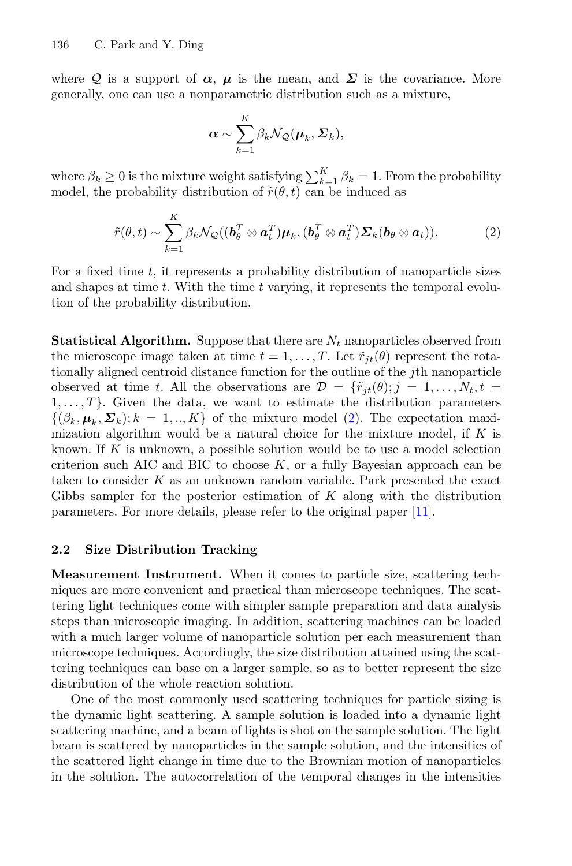where Q is a support of  $\alpha$ ,  $\mu$  is the mean, and  $\Sigma$  is the covariance. More generally, one can use a nonparametric distribution such as a mixture,

$$
\boldsymbol{\alpha} \sim \sum_{k=1}^K \beta_k \mathcal{N}_{\mathcal{Q}}(\boldsymbol{\mu}_k, \boldsymbol{\Sigma}_k),
$$

where  $\beta_k \geq 0$  is the mixture weight satisfying  $\sum_{k=1}^K \beta_k = 1$ . From the probability model, the probability distribution of  $\tilde{r}(\theta, t)$  can be induced as

$$
\tilde{r}(\theta, t) \sim \sum_{k=1}^{K} \beta_k \mathcal{N}_{\mathcal{Q}}((\boldsymbol{b}_{\theta}^T \otimes \boldsymbol{a}_t^T) \boldsymbol{\mu}_k, (\boldsymbol{b}_{\theta}^T \otimes \boldsymbol{a}_t^T) \boldsymbol{\Sigma}_k(\boldsymbol{b}_{\theta} \otimes \boldsymbol{a}_t)).
$$
\n(2)

For a fixed time  $t$ , it represents a probability distribution of nanoparticle sizes and shapes at time  $t$ . With the time  $t$  varying, it represents the temporal evolution of the probability distribution.

**Statistical Algorithm.** Suppose that there are  $N_t$  nanoparticles observed from the microscope image taken at time  $t = 1, \ldots, T$ . Let  $\tilde{r}_{jt}(\theta)$  represent the rotationally aligned centroid distance function for the outline of the jth nanoparticle observed at time t. All the observations are  $\mathcal{D} = \{ \tilde{r}_{it}(\theta); j = 1, \ldots, N_t, t =$  $1, \ldots, T$ . Given the data, we want to estimate the distribution parameters  $\{(\beta_k, \mu_k, \Sigma_k); k = 1, ..., K\}$  of the mixture model (2). The expectation maximization algorithm would be a natural choice for the mixture model, if  $K$  is known. If  $K$  is unknown, a possible solution would be to use a model selection criterion such AIC and BIC to choose  $K$ , or a fully Bayesian approach can be taken to consider  $K$  as an unknown random variable. Park presented the exact Gibbs sampler for the posterior estimation of  $K$  along with the distribution parameters. For more details, please refer to the original paper [11].

#### **2.2 Size Distribution Tracking**

**Measurement Instrument.** When it comes to particle size, scattering techniques are more convenient and practical than microscope techniques. The scattering light techniques come with simpler sample preparation and data analysis steps than microscopic imaging. In addition, scattering machines can be loaded with a much larger volume of nanoparticle solution per each measurement than microscope techniques. Accordingly, the size distribution attained using the scattering techniques can base on a larger sample, so as to better represent the size distribution of the whole reaction solution.

One of the most commonly used scattering techniques for particle sizing is the dynamic light scattering. A sample solution is loaded into a dynamic light scattering machine, and a beam of lights is shot on the sample solution. The light beam is scattered by nanoparticles in the sample solution, and the intensities of the scattered light change in time due to the Brownian motion of nanoparticles in the solution. The autocorrelation of the temporal changes in the intensities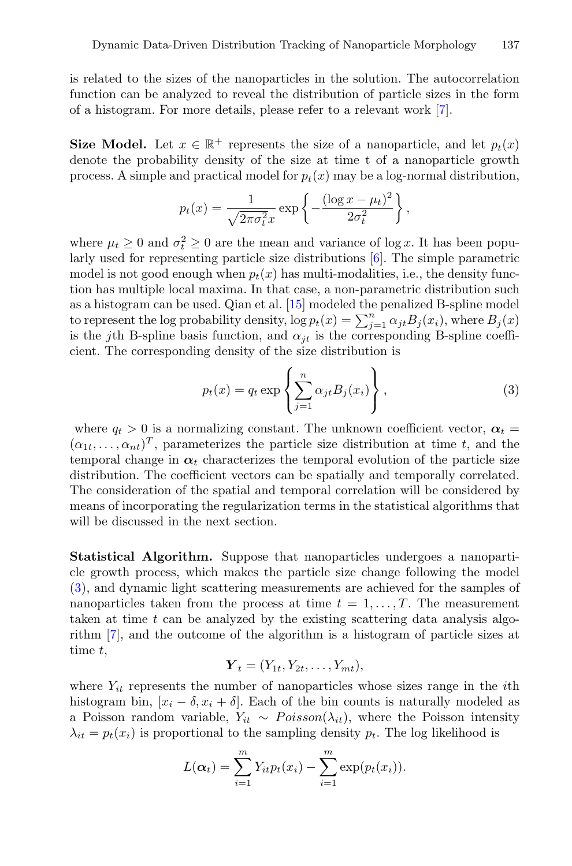is related to the sizes of the nanoparticles in the solution. The autocorrelation function can be analyzed to reveal the distribution of particle sizes in the form of a histogram. For more details, please refer to a relevant work [7].

**Size Model.** Let  $x \in \mathbb{R}^+$  represents the size of a nanoparticle, and let  $p_t(x)$ denote the probability density of the size at time t of a nanoparticle growth process. A simple and practical model for  $p_t(x)$  may be a log-normal distribution,

$$
p_t(x) = \frac{1}{\sqrt{2\pi\sigma_t^2}x} \exp\left\{-\frac{(\log x - \mu_t)^2}{2\sigma_t^2}\right\},\,
$$

where  $\mu_t \geq 0$  and  $\sigma_t^2 \geq 0$  are the mean and variance of log x. It has been popularly used for representing particle size distributions [6]. The simple parametric model is not good enough when  $p_t(x)$  has multi-modalities, i.e., the density function has multiple local maxima. In that case, a non-parametric distribution such as a histogram can be used. Qian et al. [15] modeled the penalized B-spline model to represent the log probability density,  $\log p_t(x) = \sum_{j=1}^n \alpha_{jt} B_j(x_i)$ , where  $B_j(x)$ is the jth B-spline basis function, and  $\alpha_{jt}$  is the corresponding B-spline coefficient. The corresponding density of the size distribution is

$$
p_t(x) = q_t \exp\left\{\sum_{j=1}^n \alpha_{jt} B_j(x_i)\right\},\tag{3}
$$

where  $q_t > 0$  is a normalizing constant. The unknown coefficient vector,  $\alpha_t =$  $(\alpha_{1t},\ldots,\alpha_{nt})^T$ , parameterizes the particle size distribution at time t, and the temporal change in  $\alpha_t$  characterizes the temporal evolution of the particle size distribution. The coefficient vectors can be spatially and temporally correlated. The consideration of the spatial and temporal correlation will be considered by means of incorporating the regularization terms in the statistical algorithms that will be discussed in the next section.

**Statistical Algorithm.** Suppose that nanoparticles undergoes a nanoparticle growth process, which makes the particle size change following the model (3), and dynamic light scattering measurements are achieved for the samples of nanoparticles taken from the process at time  $t = 1, \ldots, T$ . The measurement taken at time  $t$  can be analyzed by the existing scattering data analysis algorithm [7], and the outcome of the algorithm is a histogram of particle sizes at time t,

$$
\boldsymbol{Y}_t = (Y_{1t}, Y_{2t}, \dots, Y_{mt}),
$$

where  $Y_{it}$  represents the number of nanoparticles whose sizes range in the *i*th histogram bin,  $[x_i - \delta, x_i + \delta]$ . Each of the bin counts is naturally modeled as a Poisson random variable,  $Y_{it} \sim Poisson(\lambda_{it})$ , where the Poisson intensity  $\lambda_{it} = p_t(x_i)$  is proportional to the sampling density  $p_t$ . The log likelihood is

$$
L(\alpha_t) = \sum_{i=1}^{m} Y_{it} p_t(x_i) - \sum_{i=1}^{m} \exp(p_t(x_i)).
$$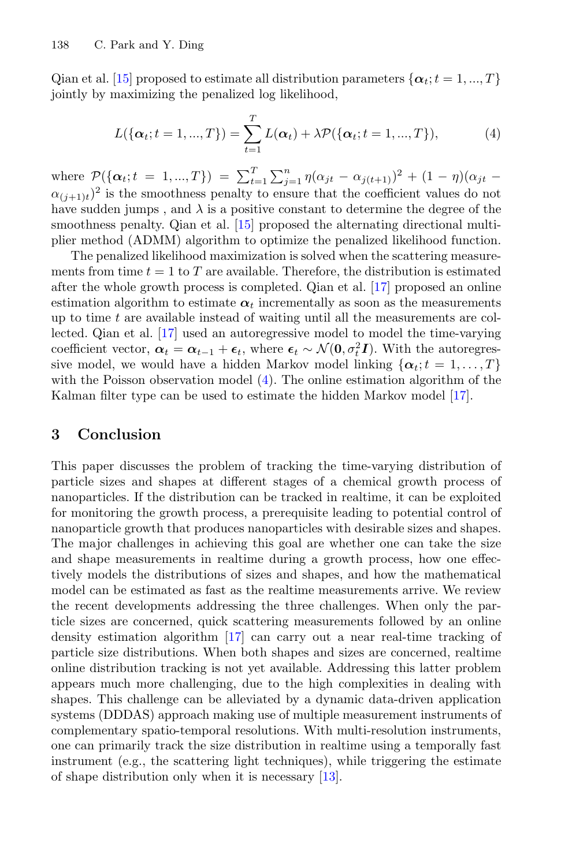Qian et al. [15] proposed to estimate all distribution parameters  $\{\boldsymbol{\alpha}_t; t = 1, ..., T\}$ jointly by maximizing the penalized log likelihood,

$$
L(\{\alpha_t; t = 1, ..., T\}) = \sum_{t=1}^{T} L(\alpha_t) + \lambda \mathcal{P}(\{\alpha_t; t = 1, ..., T\}),
$$
 (4)

where  $\mathcal{P}(\{\alpha_t; t = 1, ..., T\}) = \sum_{t=1}^T \sum_{j=1}^n \eta(\alpha_{jt} - \alpha_{j(t+1)})^2 + (1 - \eta)(\alpha_{jt} (\alpha_{(i+1)t})^2$  is the smoothness penalty to ensure that the coefficient values do not have sudden jumps, and  $\lambda$  is a positive constant to determine the degree of the smoothness penalty. Qian et al. [15] proposed the alternating directional multiplier method (ADMM) algorithm to optimize the penalized likelihood function.

The penalized likelihood maximization is solved when the scattering measurements from time  $t = 1$  to T are available. Therefore, the distribution is estimated after the whole growth process is completed. Qian et al. [17] proposed an online estimation algorithm to estimate  $\alpha_t$  incrementally as soon as the measurements up to time  $t$  are available instead of waiting until all the measurements are collected. Qian et al. [17] used an autoregressive model to model the time-varying coefficient vector,  $\alpha_t = \alpha_{t-1} + \epsilon_t$ , where  $\epsilon_t \sim \mathcal{N}(\mathbf{0}, \sigma_t^2 \mathbf{I})$ . With the autoregressive model, we would have a hidden Markov model linking  $\{\boldsymbol{\alpha}_t; t = 1, \ldots, T\}$ with the Poisson observation model  $(4)$ . The online estimation algorithm of the Kalman filter type can be used to estimate the hidden Markov model [17].

## **3 Conclusion**

This paper discusses the problem of tracking the time-varying distribution of particle sizes and shapes at different stages of a chemical growth process of nanoparticles. If the distribution can be tracked in realtime, it can be exploited for monitoring the growth process, a prerequisite leading to potential control of nanoparticle growth that produces nanoparticles with desirable sizes and shapes. The major challenges in achieving this goal are whether one can take the size and shape measurements in realtime during a growth process, how one effectively models the distributions of sizes and shapes, and how the mathematical model can be estimated as fast as the realtime measurements arrive. We review the recent developments addressing the three challenges. When only the particle sizes are concerned, quick scattering measurements followed by an online density estimation algorithm [17] can carry out a near real-time tracking of particle size distributions. When both shapes and sizes are concerned, realtime online distribution tracking is not yet available. Addressing this latter problem appears much more challenging, due to the high complexities in dealing with shapes. This challenge can be alleviated by a dynamic data-driven application systems (DDDAS) approach making use of multiple measurement instruments of complementary spatio-temporal resolutions. With multi-resolution instruments, one can primarily track the size distribution in realtime using a temporally fast instrument (e.g., the scattering light techniques), while triggering the estimate of shape distribution only when it is necessary [13].